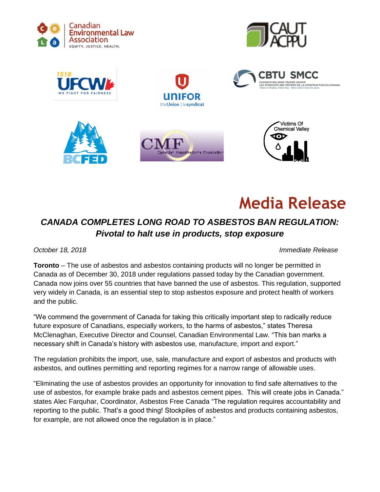

















## *CANADA COMPLETES LONG ROAD TO ASBESTOS BAN REGULATION: Pivotal to halt use in products, stop exposure*

*October 18, 2018 Immediate Release*

**Toronto** – The use of asbestos and asbestos containing products will no longer be permitted in Canada as of December 30, 2018 under regulations passed today by the Canadian government. Canada now joins over 55 countries that have banned the use of asbestos. This regulation, supported very widely in Canada, is an essential step to stop asbestos exposure and protect health of workers and the public.

"We commend the government of Canada for taking this critically important step to radically reduce future exposure of Canadians, especially workers, to the harms of asbestos," states Theresa McClenaghan, Executive Director and Counsel, Canadian Environmental Law. "This ban marks a necessary shift in Canada's history with asbestos use, manufacture, import and export."

The regulation prohibits the import, use, sale, manufacture and export of asbestos and products with asbestos, and outlines permitting and reporting regimes for a narrow range of allowable uses.

"Eliminating the use of asbestos provides an opportunity for innovation to find safe alternatives to the use of asbestos, for example brake pads and asbestos cement pipes. This will create jobs in Canada." states Alec Farquhar, Coordinator, Asbestos Free Canada "The regulation requires accountability and reporting to the public. That's a good thing! Stockpiles of asbestos and products containing asbestos, for example, are not allowed once the regulation is in place."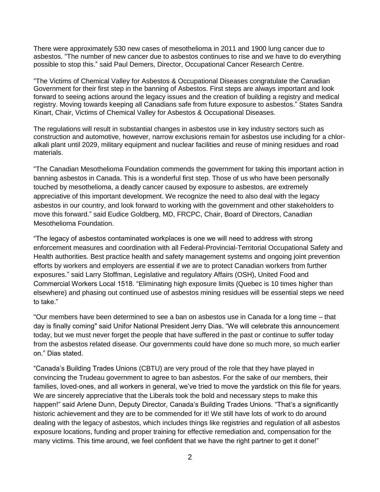There were approximately 530 new cases of mesothelioma in 2011 and 1900 lung cancer due to asbestos. "The number of new cancer due to asbestos continues to rise and we have to do everything possible to stop this." said Paul Demers, Director, Occupational Cancer Research Centre.

"The Victims of Chemical Valley for Asbestos & Occupational Diseases congratulate the Canadian Government for their first step in the banning of Asbestos. First steps are always important and look forward to seeing actions around the legacy issues and the creation of building a registry and medical registry. Moving towards keeping all Canadians safe from future exposure to asbestos." States Sandra Kinart, Chair, Victims of Chemical Valley for Asbestos & Occupational Diseases.

The regulations will result in substantial changes in asbestos use in key industry sectors such as construction and automotive, however, narrow exclusions remain for asbestos use including for a chloralkali plant until 2029, military equipment and nuclear facilities and reuse of mining residues and road materials.

"The Canadian Mesothelioma Foundation commends the government for taking this important action in banning asbestos in Canada. This is a wonderful first step. Those of us who have been personally touched by mesothelioma, a deadly cancer caused by exposure to asbestos, are extremely appreciative of this important development. We recognize the need to also deal with the legacy asbestos in our country, and look forward to working with the government and other stakeholders to move this forward." said Eudice Goldberg, MD, FRCPC, Chair, Board of Directors, Canadian Mesothelioma Foundation.

"The legacy of asbestos contaminated workplaces is one we will need to address with strong enforcement measures and coordination with all Federal-Provincial-Territorial Occupational Safety and Health authorities. Best practice health and safety management systems and ongoing joint prevention efforts by workers and employers are essential if we are to protect Canadian workers from further exposures." said Larry Stoffman, Legislative and regulatory Affairs (OSH), United Food and Commercial Workers Local 1518. "Eliminating high exposure limits (Quebec is 10 times higher than elsewhere) and phasing out continued use of asbestos mining residues will be essential steps we need to take."

"Our members have been determined to see a ban on asbestos use in Canada for a long time – that day is finally coming" said Unifor National President Jerry Dias. "We will celebrate this announcement today, but we must never forget the people that have suffered in the past or continue to suffer today from the asbestos related disease. Our governments could have done so much more, so much earlier on." Dias stated.

"Canada's Building Trades Unions (CBTU) are very proud of the role that they have played in convincing the Trudeau government to agree to ban asbestos. For the sake of our members, their families, loved-ones, and all workers in general, we've tried to move the yardstick on this file for years. We are sincerely appreciative that the Liberals took the bold and necessary steps to make this happen!" said Arlene Dunn, Deputy Director, Canada's Building Trades Unions. "That's a significantly historic achievement and they are to be commended for it! We still have lots of work to do around dealing with the legacy of asbestos, which includes things like registries and regulation of all asbestos exposure locations, funding and proper training for effective remediation and, compensation for the many victims. This time around, we feel confident that we have the right partner to get it done!"